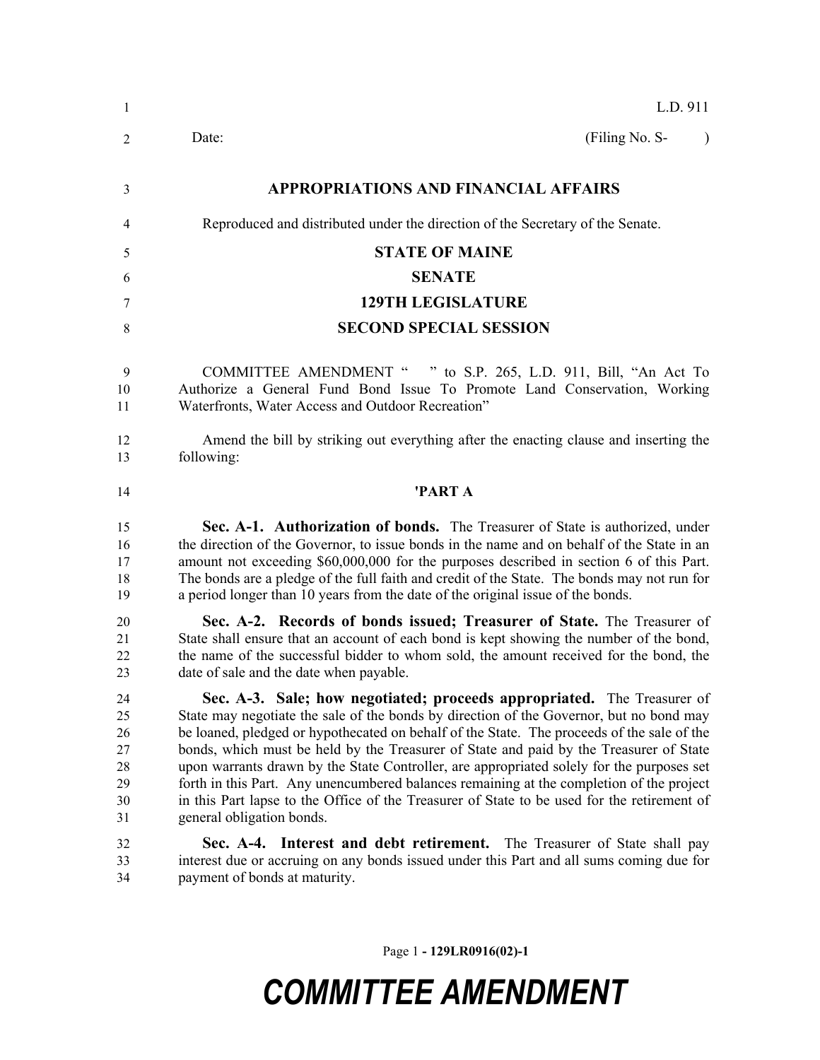| $\mathbf{1}$                                 | L.D. 911                                                                                                                                                                                                                                                                                                                                                                                                                                                                                                                                                                                                                                                                        |
|----------------------------------------------|---------------------------------------------------------------------------------------------------------------------------------------------------------------------------------------------------------------------------------------------------------------------------------------------------------------------------------------------------------------------------------------------------------------------------------------------------------------------------------------------------------------------------------------------------------------------------------------------------------------------------------------------------------------------------------|
| 2                                            | (Filing No. S-<br>Date:<br>$\lambda$                                                                                                                                                                                                                                                                                                                                                                                                                                                                                                                                                                                                                                            |
| 3                                            | <b>APPROPRIATIONS AND FINANCIAL AFFAIRS</b>                                                                                                                                                                                                                                                                                                                                                                                                                                                                                                                                                                                                                                     |
| 4                                            | Reproduced and distributed under the direction of the Secretary of the Senate.                                                                                                                                                                                                                                                                                                                                                                                                                                                                                                                                                                                                  |
| 5                                            | <b>STATE OF MAINE</b>                                                                                                                                                                                                                                                                                                                                                                                                                                                                                                                                                                                                                                                           |
| 6                                            | <b>SENATE</b>                                                                                                                                                                                                                                                                                                                                                                                                                                                                                                                                                                                                                                                                   |
| 7                                            | <b>129TH LEGISLATURE</b>                                                                                                                                                                                                                                                                                                                                                                                                                                                                                                                                                                                                                                                        |
| 8                                            | <b>SECOND SPECIAL SESSION</b>                                                                                                                                                                                                                                                                                                                                                                                                                                                                                                                                                                                                                                                   |
| 9<br>10<br>11                                | COMMITTEE AMENDMENT " " to S.P. 265, L.D. 911, Bill, "An Act To<br>Authorize a General Fund Bond Issue To Promote Land Conservation, Working<br>Waterfronts, Water Access and Outdoor Recreation"                                                                                                                                                                                                                                                                                                                                                                                                                                                                               |
| 12<br>13                                     | Amend the bill by striking out everything after the enacting clause and inserting the<br>following:                                                                                                                                                                                                                                                                                                                                                                                                                                                                                                                                                                             |
| 14                                           | 'PART A                                                                                                                                                                                                                                                                                                                                                                                                                                                                                                                                                                                                                                                                         |
| 15<br>16<br>17<br>18<br>19                   | Sec. A-1. Authorization of bonds. The Treasurer of State is authorized, under<br>the direction of the Governor, to issue bonds in the name and on behalf of the State in an<br>amount not exceeding \$60,000,000 for the purposes described in section 6 of this Part.<br>The bonds are a pledge of the full faith and credit of the State. The bonds may not run for<br>a period longer than 10 years from the date of the original issue of the bonds.                                                                                                                                                                                                                        |
| 20<br>21<br>22<br>23                         | Sec. A-2. Records of bonds issued; Treasurer of State. The Treasurer of<br>State shall ensure that an account of each bond is kept showing the number of the bond,<br>the name of the successful bidder to whom sold, the amount received for the bond, the<br>date of sale and the date when payable.                                                                                                                                                                                                                                                                                                                                                                          |
| 24<br>25<br>26<br>27<br>28<br>29<br>30<br>31 | Sec. A-3. Sale; how negotiated; proceeds appropriated. The Treasurer of<br>State may negotiate the sale of the bonds by direction of the Governor, but no bond may<br>be loaned, pledged or hypothecated on behalf of the State. The proceeds of the sale of the<br>bonds, which must be held by the Treasurer of State and paid by the Treasurer of State<br>upon warrants drawn by the State Controller, are appropriated solely for the purposes set<br>forth in this Part. Any unencumbered balances remaining at the completion of the project<br>in this Part lapse to the Office of the Treasurer of State to be used for the retirement of<br>general obligation bonds. |
| 32<br>33<br>34                               | Sec. A-4. Interest and debt retirement. The Treasurer of State shall pay<br>interest due or accruing on any bonds issued under this Part and all sums coming due for<br>payment of bonds at maturity.                                                                                                                                                                                                                                                                                                                                                                                                                                                                           |

Page 1 **- 129LR0916(02)-1**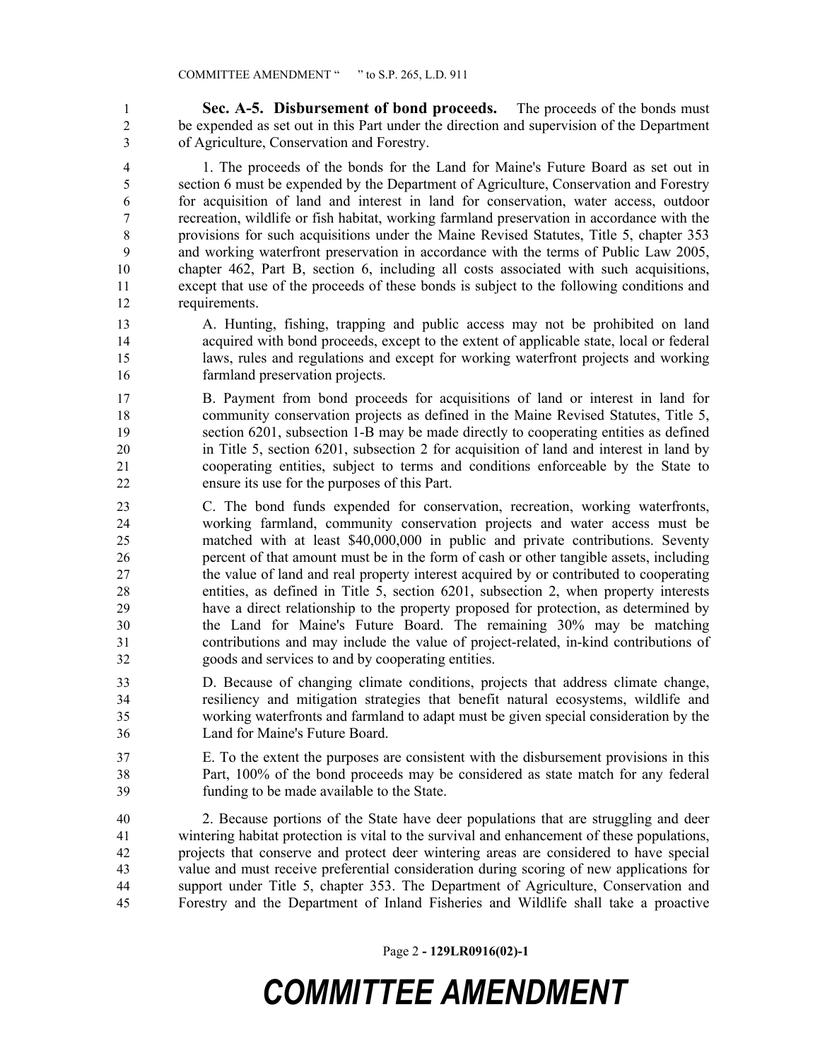**Sec. A-5. Disbursement of bond proceeds.** The proceeds of the bonds must be expended as set out in this Part under the direction and supervision of the Department of Agriculture, Conservation and Forestry.

 1. The proceeds of the bonds for the Land for Maine's Future Board as set out in section 6 must be expended by the Department of Agriculture, Conservation and Forestry for acquisition of land and interest in land for conservation, water access, outdoor recreation, wildlife or fish habitat, working farmland preservation in accordance with the provisions for such acquisitions under the Maine Revised Statutes, Title 5, chapter 353 and working waterfront preservation in accordance with the terms of Public Law 2005, chapter 462, Part B, section 6, including all costs associated with such acquisitions, except that use of the proceeds of these bonds is subject to the following conditions and requirements.

- A. Hunting, fishing, trapping and public access may not be prohibited on land acquired with bond proceeds, except to the extent of applicable state, local or federal laws, rules and regulations and except for working waterfront projects and working farmland preservation projects.
- B. Payment from bond proceeds for acquisitions of land or interest in land for community conservation projects as defined in the Maine Revised Statutes, Title 5, section 6201, subsection 1-B may be made directly to cooperating entities as defined in Title 5, section 6201, subsection 2 for acquisition of land and interest in land by cooperating entities, subject to terms and conditions enforceable by the State to ensure its use for the purposes of this Part.
- C. The bond funds expended for conservation, recreation, working waterfronts, working farmland, community conservation projects and water access must be matched with at least \$40,000,000 in public and private contributions. Seventy percent of that amount must be in the form of cash or other tangible assets, including the value of land and real property interest acquired by or contributed to cooperating entities, as defined in Title 5, section 6201, subsection 2, when property interests have a direct relationship to the property proposed for protection, as determined by the Land for Maine's Future Board. The remaining 30% may be matching contributions and may include the value of project-related, in-kind contributions of goods and services to and by cooperating entities.
- D. Because of changing climate conditions, projects that address climate change, resiliency and mitigation strategies that benefit natural ecosystems, wildlife and working waterfronts and farmland to adapt must be given special consideration by the Land for Maine's Future Board.
- E. To the extent the purposes are consistent with the disbursement provisions in this Part, 100% of the bond proceeds may be considered as state match for any federal funding to be made available to the State.
- 2. Because portions of the State have deer populations that are struggling and deer wintering habitat protection is vital to the survival and enhancement of these populations, projects that conserve and protect deer wintering areas are considered to have special value and must receive preferential consideration during scoring of new applications for support under Title 5, chapter 353. The Department of Agriculture, Conservation and Forestry and the Department of Inland Fisheries and Wildlife shall take a proactive

Page 2 **- 129LR0916(02)-1**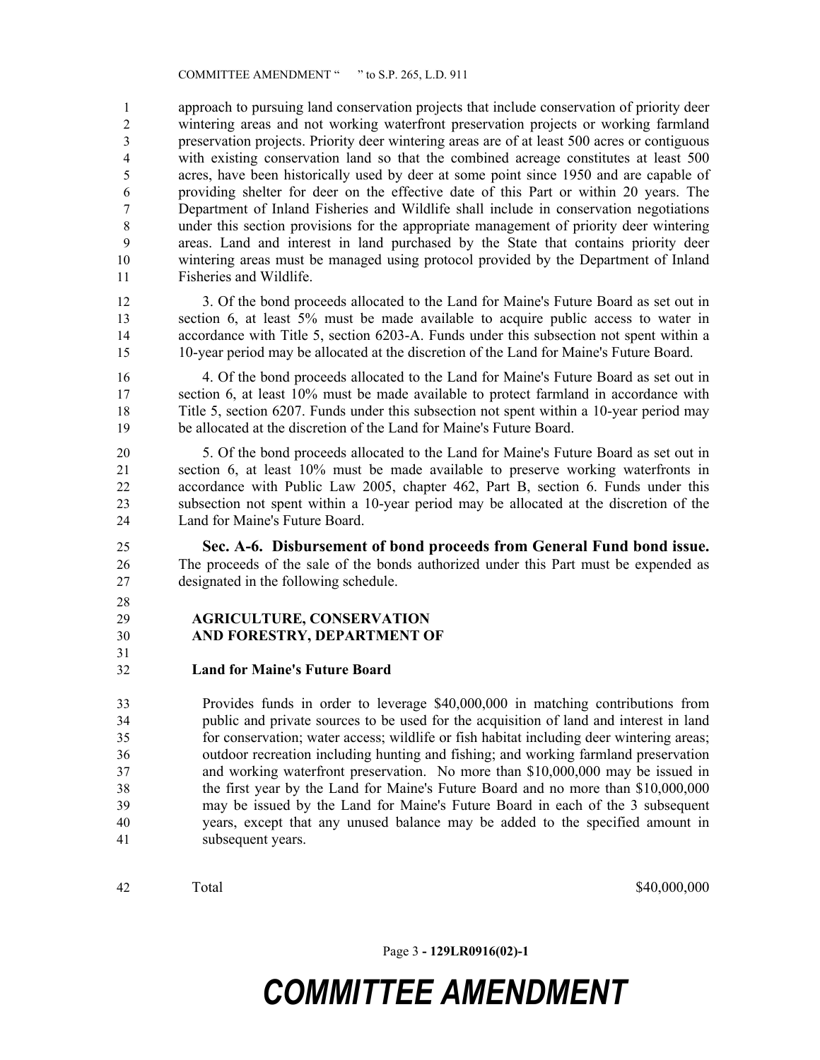approach to pursuing land conservation projects that include conservation of priority deer wintering areas and not working waterfront preservation projects or working farmland preservation projects. Priority deer wintering areas are of at least 500 acres or contiguous with existing conservation land so that the combined acreage constitutes at least 500 acres, have been historically used by deer at some point since 1950 and are capable of providing shelter for deer on the effective date of this Part or within 20 years. The Department of Inland Fisheries and Wildlife shall include in conservation negotiations under this section provisions for the appropriate management of priority deer wintering areas. Land and interest in land purchased by the State that contains priority deer wintering areas must be managed using protocol provided by the Department of Inland Fisheries and Wildlife.

 3. Of the bond proceeds allocated to the Land for Maine's Future Board as set out in section 6, at least 5% must be made available to acquire public access to water in accordance with Title 5, section 6203-A. Funds under this subsection not spent within a 10-year period may be allocated at the discretion of the Land for Maine's Future Board.

 4. Of the bond proceeds allocated to the Land for Maine's Future Board as set out in section 6, at least 10% must be made available to protect farmland in accordance with Title 5, section 6207. Funds under this subsection not spent within a 10-year period may be allocated at the discretion of the Land for Maine's Future Board.

 5. Of the bond proceeds allocated to the Land for Maine's Future Board as set out in section 6, at least 10% must be made available to preserve working waterfronts in accordance with Public Law 2005, chapter 462, Part B, section 6. Funds under this subsection not spent within a 10-year period may be allocated at the discretion of the Land for Maine's Future Board.

 **Sec. A-6. Disbursement of bond proceeds from General Fund bond issue.**  The proceeds of the sale of the bonds authorized under this Part must be expended as designated in the following schedule.

 

#### **AGRICULTURE, CONSERVATION**

- **AND FORESTRY, DEPARTMENT OF**
- 

#### **Land for Maine's Future Board**

 Provides funds in order to leverage \$40,000,000 in matching contributions from public and private sources to be used for the acquisition of land and interest in land for conservation; water access; wildlife or fish habitat including deer wintering areas; outdoor recreation including hunting and fishing; and working farmland preservation and working waterfront preservation. No more than \$10,000,000 may be issued in the first year by the Land for Maine's Future Board and no more than \$10,000,000 may be issued by the Land for Maine's Future Board in each of the 3 subsequent years, except that any unused balance may be added to the specified amount in subsequent years.

Total \$40,000,000 \$40,000,000 \$40,000,000 \$40,000,000 \$40,000 \$40,000 \$40,000 \$40,000 \$40,000 \$40,000 \$100 \$10

Page 3 **- 129LR0916(02)-1**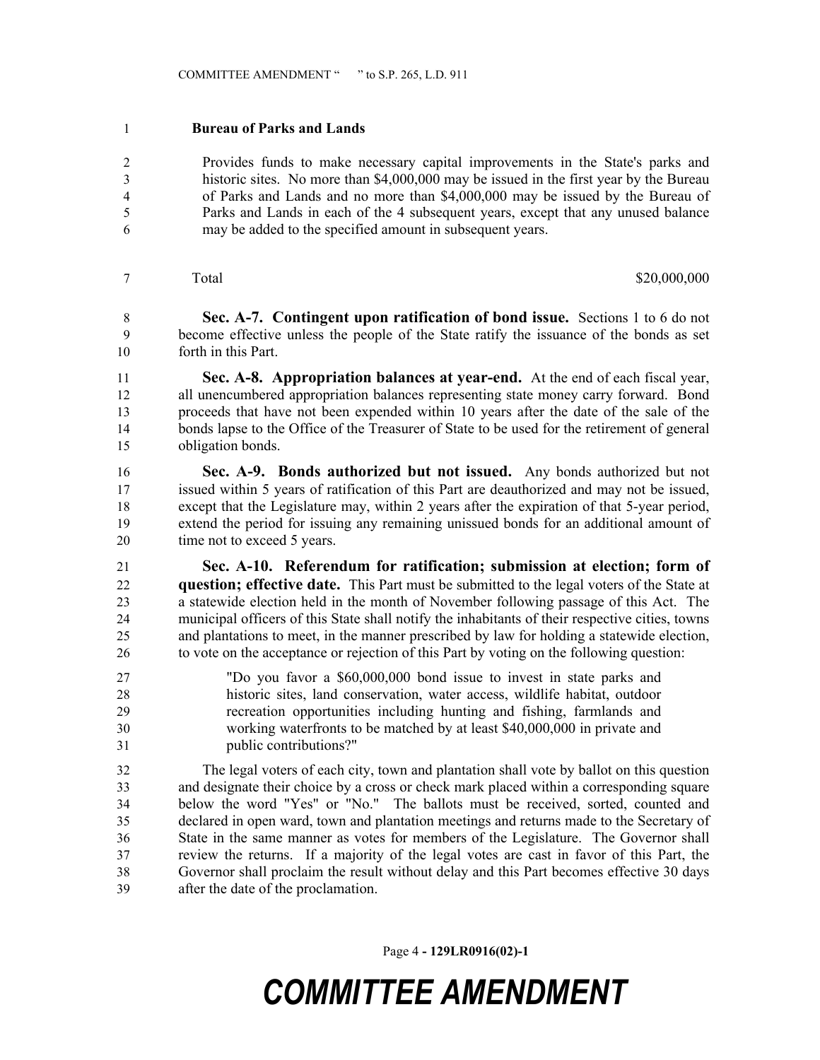#### **Bureau of Parks and Lands**

 Provides funds to make necessary capital improvements in the State's parks and historic sites. No more than \$4,000,000 may be issued in the first year by the Bureau of Parks and Lands and no more than \$4,000,000 may be issued by the Bureau of Parks and Lands in each of the 4 subsequent years, except that any unused balance may be added to the specified amount in subsequent years.

#### Total \$20,000,000 \$20,000,000 \$20,000,000 \$20,000,000 \$20,000,000 \$20,000 \$20,000 \$20,000 \$20,000 \$

 **Sec. A-7. Contingent upon ratification of bond issue.** Sections 1 to 6 do not become effective unless the people of the State ratify the issuance of the bonds as set forth in this Part.

 **Sec. A-8. Appropriation balances at year-end.** At the end of each fiscal year, all unencumbered appropriation balances representing state money carry forward. Bond proceeds that have not been expended within 10 years after the date of the sale of the bonds lapse to the Office of the Treasurer of State to be used for the retirement of general obligation bonds.

 **Sec. A-9. Bonds authorized but not issued.** Any bonds authorized but not issued within 5 years of ratification of this Part are deauthorized and may not be issued, except that the Legislature may, within 2 years after the expiration of that 5-year period, extend the period for issuing any remaining unissued bonds for an additional amount of 20 time not to exceed 5 years.

 **Sec. A-10. Referendum for ratification; submission at election; form of question; effective date.** This Part must be submitted to the legal voters of the State at a statewide election held in the month of November following passage of this Act. The municipal officers of this State shall notify the inhabitants of their respective cities, towns and plantations to meet, in the manner prescribed by law for holding a statewide election, to vote on the acceptance or rejection of this Part by voting on the following question:

 "Do you favor a \$60,000,000 bond issue to invest in state parks and historic sites, land conservation, water access, wildlife habitat, outdoor recreation opportunities including hunting and fishing, farmlands and working waterfronts to be matched by at least \$40,000,000 in private and public contributions?"

 The legal voters of each city, town and plantation shall vote by ballot on this question and designate their choice by a cross or check mark placed within a corresponding square below the word "Yes" or "No." The ballots must be received, sorted, counted and declared in open ward, town and plantation meetings and returns made to the Secretary of State in the same manner as votes for members of the Legislature. The Governor shall review the returns. If a majority of the legal votes are cast in favor of this Part, the Governor shall proclaim the result without delay and this Part becomes effective 30 days after the date of the proclamation.

Page 4 **- 129LR0916(02)-1**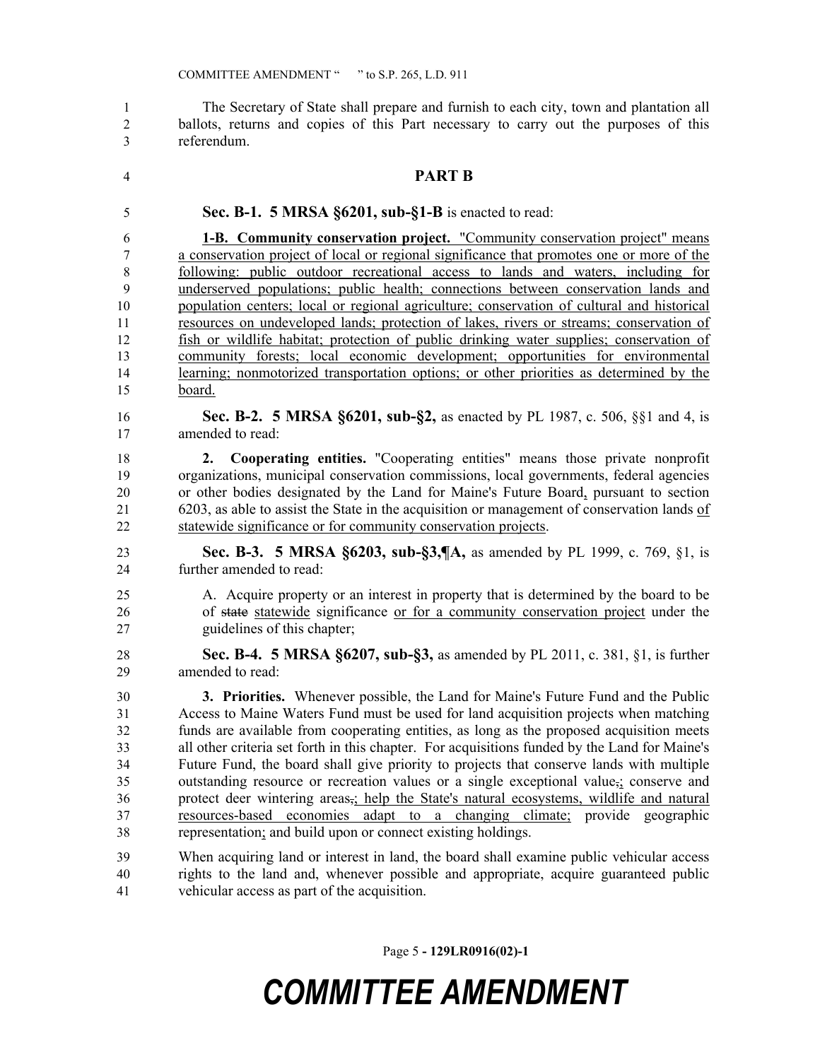The Secretary of State shall prepare and furnish to each city, town and plantation all ballots, returns and copies of this Part necessary to carry out the purposes of this referendum.

### **PART B**

**Sec. B-1. 5 MRSA §6201, sub-§1-B** is enacted to read:

 **1-B. Community conservation project.** "Community conservation project" means a conservation project of local or regional significance that promotes one or more of the following: public outdoor recreational access to lands and waters, including for underserved populations; public health; connections between conservation lands and population centers; local or regional agriculture; conservation of cultural and historical resources on undeveloped lands; protection of lakes, rivers or streams; conservation of fish or wildlife habitat; protection of public drinking water supplies; conservation of community forests; local economic development; opportunities for environmental learning; nonmotorized transportation options; or other priorities as determined by the board.

 **Sec. B-2. 5 MRSA §6201, sub-§2,** as enacted by PL 1987, c. 506, §§1 and 4, is amended to read:

 **2. Cooperating entities.** "Cooperating entities" means those private nonprofit organizations, municipal conservation commissions, local governments, federal agencies or other bodies designated by the Land for Maine's Future Board, pursuant to section 6203, as able to assist the State in the acquisition or management of conservation lands of statewide significance or for community conservation projects.

- **Sec. B-3. 5 MRSA §6203, sub-§3,¶A,** as amended by PL 1999, c. 769, §1, is further amended to read:
- A. Acquire property or an interest in property that is determined by the board to be of state statewide significance or for a community conservation project under the guidelines of this chapter;
- **Sec. B-4. 5 MRSA §6207, sub-§3,** as amended by PL 2011, c. 381, §1, is further amended to read:

 **3. Priorities.** Whenever possible, the Land for Maine's Future Fund and the Public Access to Maine Waters Fund must be used for land acquisition projects when matching funds are available from cooperating entities, as long as the proposed acquisition meets all other criteria set forth in this chapter. For acquisitions funded by the Land for Maine's Future Fund, the board shall give priority to projects that conserve lands with multiple outstanding resource or recreation values or a single exceptional value,; conserve and protect deer wintering areas,; help the State's natural ecosystems, wildlife and natural resources-based economies adapt to a changing climate; provide geographic representation; and build upon or connect existing holdings.

 When acquiring land or interest in land, the board shall examine public vehicular access rights to the land and, whenever possible and appropriate, acquire guaranteed public vehicular access as part of the acquisition.

Page 5 **- 129LR0916(02)-1**